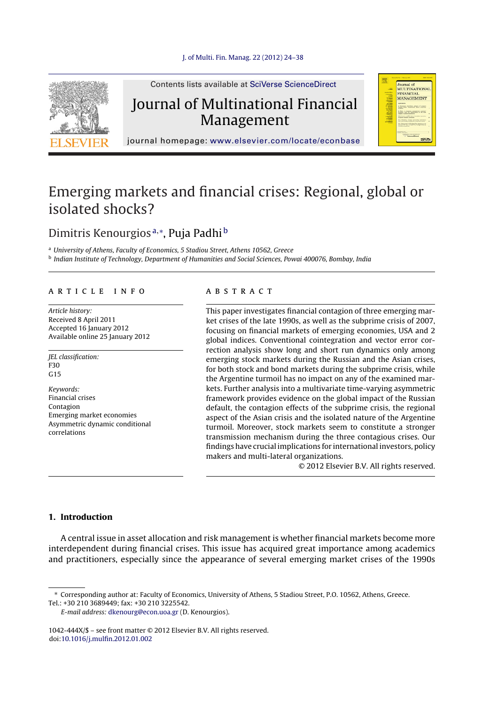

Contents lists available at SciVerse [ScienceDirect](http://www.sciencedirect.com/science/journal/1042444X)

# Journal of Multinational Financial Management



journal homepage: [www.elsevier.com/locate/econbase](http://www.elsevier.com/locate/econbase)

# Emerging markets and financial crises: Regional, global or isolated shocks?

### Dimitris Kenourgiosª,\*, <mark>Puja Padhi</mark> <sup>b</sup>

a University of Athens, Faculty of Economics, 5 Stadiou Street, Athens 10562, Greece <sup>b</sup> Indian Institute of Technology, Department of Humanities and Social Sciences, Powai 400076, Bombay, India

#### a r t i c l e i n f o

Article history: Received 8 April 2011 Accepted 16 January 2012 Available online 25 January 2012

JEL classification: F30  $G<sub>15</sub>$ Keywords: Financial crises Contagion Emerging market economies

Asymmetric dynamic conditional correlations

#### a b s t r a c t

This paper investigates financial contagion of three emerging market crises of the late 1990s, as well as the subprime crisis of 2007, focusing on financial markets of emerging economies, USA and 2 global indices. Conventional cointegration and vector error correction analysis show long and short run dynamics only among emerging stock markets during the Russian and the Asian crises, for both stock and bond markets during the subprime crisis, while the Argentine turmoil has no impact on any of the examined markets. Further analysis into a multivariate time-varying asymmetric framework provides evidence on the global impact of the Russian default, the contagion effects of the subprime crisis, the regional aspect of the Asian crisis and the isolated nature of the Argentine turmoil. Moreover, stock markets seem to constitute a stronger transmission mechanism during the three contagious crises. Our findings have crucial implications for international investors, policy makers and multi-lateral organizations.

© 2012 Elsevier B.V. All rights reserved.

#### **1. Introduction**

A central issue in asset allocation and risk management is whether financial markets become more interdependent during financial crises. This issue has acquired great importance among academics and practitioners, especially since the appearance of several emerging market crises of the 1990s

<sup>∗</sup> Corresponding author at: Faculty of Economics, University of Athens, 5 Stadiou Street, P.O. 10562, Athens, Greece. Tel.: +30 210 3689449; fax: +30 210 3225542.

E-mail address: [dkenourg@econ.uoa.gr](mailto:dkenourg@econ.uoa.gr) (D. Kenourgios).

<sup>1042-444</sup>X/\$ – see front matter © 2012 Elsevier B.V. All rights reserved. doi[:10.1016/j.mulfin.2012.01.002](dx.doi.org/10.1016/j.mulfin.2012.01.002)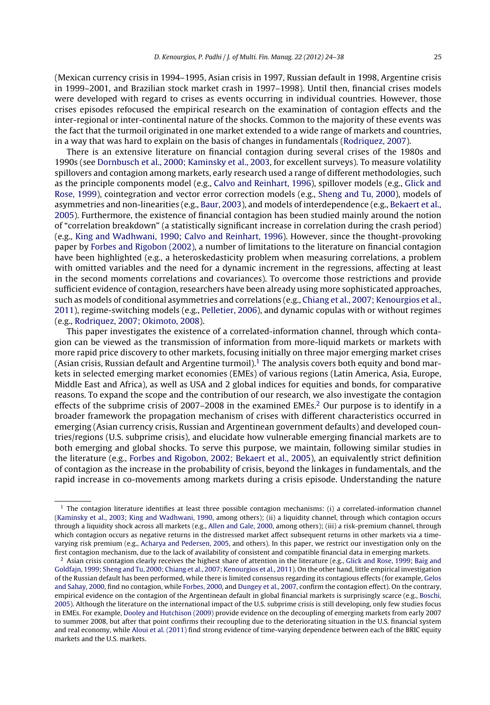(Mexican currency crisis in 1994–1995, Asian crisis in 1997, Russian default in 1998, Argentine crisis in 1999–2001, and Brazilian stock market crash in 1997–1998). Until then, financial crises models were developed with regard to crises as events occurring in individual countries. However, those crises episodes refocused the empirical research on the examination of contagion effects and the inter-regional or inter-continental nature of the shocks. Common to the majority of these events was the fact that the turmoil originated in one market extended to a wide range of markets and countries, in a way that was hard to explain on the basis of changes in fundamentals [\(Rodriquez,](#page--1-0) [2007\).](#page--1-0)

There is an extensive literature on financial contagion during several crises of the 1980s and 1990s (see [Dornbusch](#page--1-0) et [al.,](#page--1-0) [2000;](#page--1-0) [Kaminsky](#page--1-0) et [al.,](#page--1-0) [2003,](#page--1-0) for excellent surveys). To measure volatility spillovers and contagion among markets, early research used a range of different methodologies, such as the principle components model (e.g., [Calvo](#page--1-0) [and](#page--1-0) [Reinhart,](#page--1-0) [1996\),](#page--1-0) spillover models (e.g., [Glick](#page--1-0) [and](#page--1-0) [Rose,](#page--1-0) [1999\),](#page--1-0) cointegration and vector error correction models (e.g., [Sheng](#page--1-0) [and](#page--1-0) [Tu,](#page--1-0) [2000\),](#page--1-0) models of asymmetries and non-linearities (e.g., [Baur,](#page--1-0) [2003\),](#page--1-0) and models of interdependence (e.g., [Bekaert](#page--1-0) et [al.,](#page--1-0) [2005\).](#page--1-0) Furthermore, the existence of financial contagion has been studied mainly around the notion of "correlation breakdown" (a statistically significant increase in correlation during the crash period) (e.g., [King](#page--1-0) [and](#page--1-0) [Wadhwani,](#page--1-0) [1990;](#page--1-0) [Calvo](#page--1-0) [and](#page--1-0) [Reinhart,](#page--1-0) [1996\).](#page--1-0) However, since the thought-provoking paper by [Forbes](#page--1-0) [and](#page--1-0) [Rigobon](#page--1-0) [\(2002\),](#page--1-0) a number of limitations to the literature on financial contagion have been highlighted (e.g., a heteroskedasticity problem when measuring correlations, a problem with omitted variables and the need for a dynamic increment in the regressions, affecting at least in the second moments correlations and covariances). To overcome those restrictions and provide sufficient evidence of contagion, researchers have been already using more sophisticated approaches, such as models of conditional asymmetries and correlations (e.g., [Chiang](#page--1-0) et [al.,](#page--1-0) [2007;](#page--1-0) [Kenourgios](#page--1-0) et [al.,](#page--1-0) [2011\),](#page--1-0) regime-switching models (e.g., [Pelletier,](#page--1-0) [2006\),](#page--1-0) and dynamic copulas with or without regimes (e.g., [Rodriquez,](#page--1-0) [2007;](#page--1-0) [Okimoto,](#page--1-0) [2008\).](#page--1-0)

This paper investigates the existence of a correlated-information channel, through which contagion can be viewed as the transmission of information from more-liquid markets or markets with more rapid price discovery to other markets, focusing initially on three major emerging market crises (Asian crisis, Russian default and Argentine turmoil).<sup>1</sup> The analysis covers both equity and bond markets in selected emerging market economies (EMEs) of various regions (Latin America, Asia, Europe, Middle East and Africa), as well as USA and 2 global indices for equities and bonds, for comparative reasons. To expand the scope and the contribution of our research, we also investigate the contagion effects of the subprime crisis of 2007–2008 in the examined EMEs.<sup>2</sup> Our purpose is to identify in a broader framework the propagation mechanism of crises with different characteristics occurred in emerging (Asian currency crisis, Russian and Argentinean government defaults) and developed countries/regions (U.S. subprime crisis), and elucidate how vulnerable emerging financial markets are to both emerging and global shocks. To serve this purpose, we maintain, following similar studies in the literature (e.g., [Forbes](#page--1-0) [and](#page--1-0) [Rigobon,](#page--1-0) [2002;](#page--1-0) [Bekaert](#page--1-0) et [al.,](#page--1-0) [2005\),](#page--1-0) an equivalently strict definition of contagion as the increase in the probability of crisis, beyond the linkages in fundamentals, and the rapid increase in co-movements among markets during a crisis episode. Understanding the nature

 $<sup>1</sup>$  The contagion literature identifies at least three possible contagion mechanisms: (i) a correlated-information channel</sup> [\(Kaminsky](#page--1-0) et [al.,](#page--1-0) [2003;](#page--1-0) [King](#page--1-0) [and](#page--1-0) [Wadhwani,](#page--1-0) [1990,](#page--1-0) among others); (ii) a liquidity channel, through which contagion occurs through a liquidity shock across all markets (e.g., [Allen](#page--1-0) [and](#page--1-0) [Gale,](#page--1-0) [2000,](#page--1-0) among others); (iii) a risk-premium channel, through which contagion occurs as negative returns in the distressed market affect subsequent returns in other markets via a timevarying risk premium (e.g., [Acharya](#page--1-0) [and](#page--1-0) [Pedersen,](#page--1-0) [2005,](#page--1-0) and others). In this paper, we restrict our investigation only on the first contagion mechanism, due to the lack of availability of consistent and compatible financial data in emerging markets.

 $<sup>2</sup>$  Asian crisis contagion clearly receives the highest share of attention in the literature (e.g., [Glick](#page--1-0) [and](#page--1-0) [Rose,](#page--1-0) [1999;](#page--1-0) [Baig](#page--1-0) and</sup> [Goldfajn,](#page--1-0) [1999;](#page--1-0) [Sheng](#page--1-0) [and](#page--1-0) [Tu,](#page--1-0) [2000;](#page--1-0) [Chiang](#page--1-0) et [al.,](#page--1-0) [2007;](#page--1-0) [Kenourgios](#page--1-0) et [al.,](#page--1-0) [2011\).](#page--1-0) On the other hand, little empirical investigation of the Russian default has been performed, while there is limited consensus regarding its contagious effects (for example, [Gelos](#page--1-0) [and](#page--1-0) [Sahay,](#page--1-0) [2000,](#page--1-0) find no contagion, while [Forbes,](#page--1-0) [2000,](#page--1-0) and [Dungey](#page--1-0) et [al.,](#page--1-0) [2007,](#page--1-0) confirm the contagion effect). On the contrary, empirical evidence on the contagion of the Argentinean default in global financial markets is surprisingly scarce (e.g., [Boschi,](#page--1-0) [2005\).](#page--1-0) Although the literature on the international impact of the U.S. subprime crisis is still developing, only few studies focus in EMEs. For example, [Dooley](#page--1-0) [and](#page--1-0) [Hutchison](#page--1-0) [\(2009\)](#page--1-0) provide evidence on the decoupling of emerging markets from early 2007 to summer 2008, but after that point confirms their recoupling due to the deteriorating situation in the U.S. financial system and real economy, while [Aloui](#page--1-0) et [al.](#page--1-0) [\(2011\)](#page--1-0) find strong evidence of time-varying dependence between each of the BRIC equity markets and the U.S. markets.